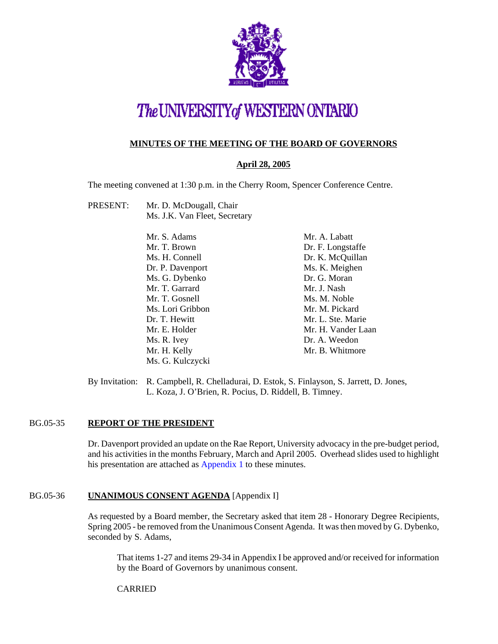

# The UNIVERSITY of WESTERN ONTARIO

## **MINUTES OF THE MEETING OF THE BOARD OF GOVERNORS**

## **April 28, 2005**

The meeting convened at 1:30 p.m. in the Cherry Room, Spencer Conference Centre.

PRESENT: Mr. D. McDougall, Chair Ms. J.K. Van Fleet, Secretary

| Mr. A. Labatt      |
|--------------------|
| Dr. F. Longstaffe  |
| Dr. K. McQuillan   |
| Ms. K. Meighen     |
| Dr. G. Moran       |
| Mr. J. Nash        |
| Ms. M. Noble       |
| Mr. M. Pickard     |
| Mr. L. Ste. Marie  |
| Mr. H. Vander Laan |
| Dr. A. Weedon      |
| Mr. B. Whitmore    |
|                    |
|                    |

By Invitation: R. Campbell, R. Chelladurai, D. Estok, S. Finlayson, S. Jarrett, D. Jones, L. Koza, J. O'Brien, R. Pocius, D. Riddell, B. Timney.

#### BG.05-35 **REPORT OF THE PRESIDENT**

Dr. Davenport provided an update on the Rae Report, University advocacy in the pre-budget period, and his activities in the months February, March and April 2005. Overhead slides used to highlight his presentation are attached as [Appendix 1 to](#page-8-0) these minutes.

#### BG.05-36 **UNANIMOUS CONSENT AGENDA** [Appendix I]

As requested by a Board member, the Secretary asked that item 28 - Honorary Degree Recipients, Spring 2005 - be removed from the Unanimous Consent Agenda. It was then moved by G. Dybenko, seconded by S. Adams,

That items 1-27 and items 29-34 in Appendix I be approved and/or received for information by the Board of Governors by unanimous consent.

CARRIED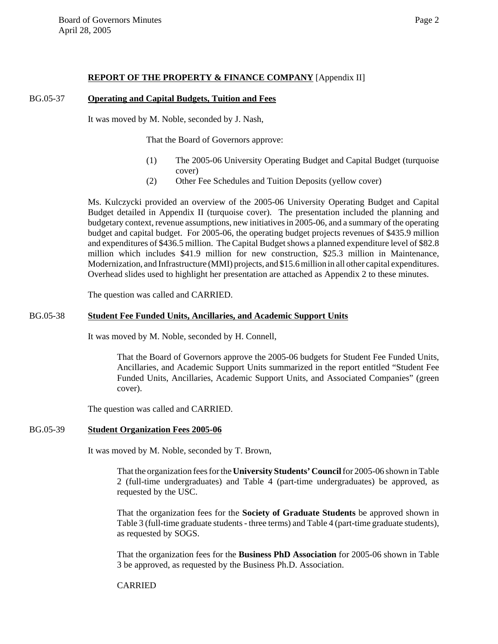#### **REPORT OF THE PROPERTY & FINANCE COMPANY** [Appendix II]

#### BG.05-37 **Operating and Capital Budgets, Tuition and Fees**

It was moved by M. Noble, seconded by J. Nash,

That the Board of Governors approve:

- (1) The 2005-06 University Operating Budget and Capital Budget (turquoise cover)
- (2) Other Fee Schedules and Tuition Deposits (yellow cover)

Ms. Kulczycki provided an overview of the 2005-06 University Operating Budget and Capital Budget detailed in Appendix II (turquoise cover). The presentation included the planning and budgetary context, revenue assumptions, new initiatives in 2005-06, and a summary of the operating budget and capital budget. For 2005-06, the operating budget projects revenues of \$435.9 million and expenditures of \$436.5 million. The Capital Budget shows a planned expenditure level of \$82.8 million which includes \$41.9 million for new construction, \$25.3 million in Maintenance, Modernization, and Infrastructure (MMI) projects, and \$15.6 million in all other capital expenditures. Overhead slides used to highlight her presentation are attached as Appendix 2 to these minutes.

The question was called and CARRIED.

#### BG.05-38 **Student Fee Funded Units, Ancillaries, and Academic Support Units**

It was moved by M. Noble, seconded by H. Connell,

That the Board of Governors approve the 2005-06 budgets for Student Fee Funded Units, Ancillaries, and Academic Support Units summarized in the report entitled "Student Fee Funded Units, Ancillaries, Academic Support Units, and Associated Companies" (green cover).

The question was called and CARRIED.

#### BG.05-39 **Student Organization Fees 2005-06**

It was moved by M. Noble, seconded by T. Brown,

That the organization fees for the **University Students' Council** for 2005-06 shown in Table 2 (full-time undergraduates) and Table 4 (part-time undergraduates) be approved, as requested by the USC.

That the organization fees for the **Society of Graduate Students** be approved shown in Table 3 (full-time graduate students - three terms) and Table 4 (part-time graduate students), as requested by SOGS.

That the organization fees for the **Business PhD Association** for 2005-06 shown in Table 3 be approved, as requested by the Business Ph.D. Association.

#### CARRIED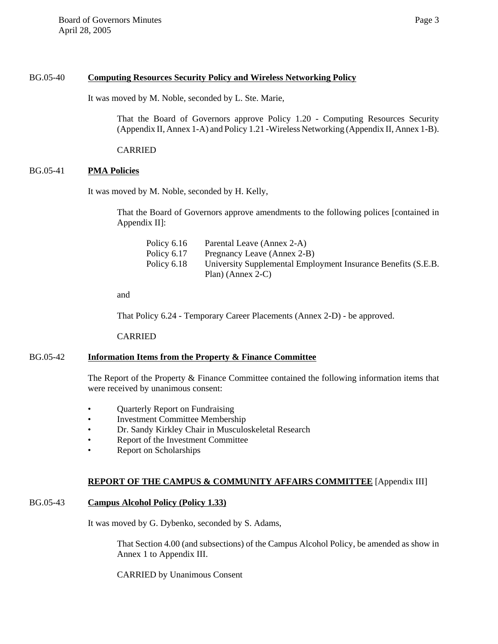#### BG.05-40 **Computing Resources Security Policy and Wireless Networking Policy**

It was moved by M. Noble, seconded by L. Ste. Marie,

That the Board of Governors approve Policy 1.20 - Computing Resources Security (Appendix II, Annex 1-A) and Policy 1.21 -Wireless Networking (Appendix II, Annex 1-B).

CARRIED

#### BG.05-41 **PMA Policies**

It was moved by M. Noble, seconded by H. Kelly,

That the Board of Governors approve amendments to the following polices [contained in Appendix II]:

| Policy 6.16 | Parental Leave (Annex 2-A)                                    |
|-------------|---------------------------------------------------------------|
| Policy 6.17 | Pregnancy Leave (Annex 2-B)                                   |
| Policy 6.18 | University Supplemental Employment Insurance Benefits (S.E.B. |
|             | Plan) (Annex 2-C)                                             |

and

That Policy 6.24 - Temporary Career Placements (Annex 2-D) - be approved.

CARRIED

#### BG.05-42 **Information Items from the Property & Finance Committee**

The Report of the Property & Finance Committee contained the following information items that were received by unanimous consent:

- Quarterly Report on Fundraising
- Investment Committee Membership
- Dr. Sandy Kirkley Chair in Musculoskeletal Research
- Report of the Investment Committee
- Report on Scholarships

#### **REPORT OF THE CAMPUS & COMMUNITY AFFAIRS COMMITTEE** [Appendix III]

#### BG.05-43 **Campus Alcohol Policy (Policy 1.33)**

It was moved by G. Dybenko, seconded by S. Adams,

That Section 4.00 (and subsections) of the Campus Alcohol Policy, be amended as show in Annex 1 to Appendix III.

CARRIED by Unanimous Consent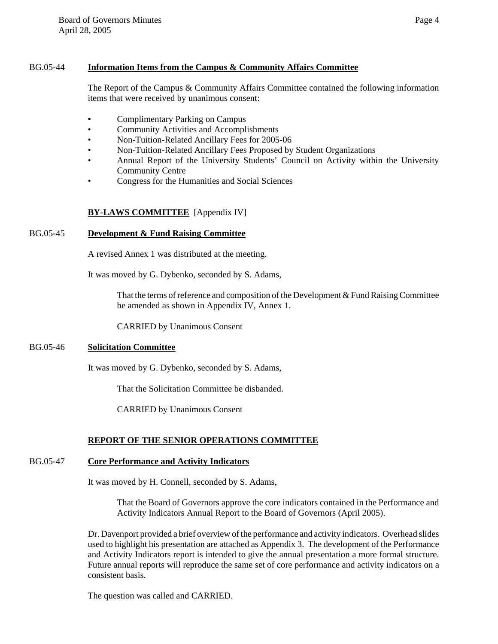## BG.05-44 **Information Items from the Campus & Community Affairs Committee**

The Report of the Campus & Community Affairs Committee contained the following information items that were received by unanimous consent:

- **•** Complimentary Parking on Campus
- Community Activities and Accomplishments
- Non-Tuition-Related Ancillary Fees for 2005-06
- Non-Tuition-Related Ancillary Fees Proposed by Student Organizations
- Annual Report of the University Students' Council on Activity within the University Community Centre
- Congress for the Humanities and Social Sciences

# **BY-LAWS COMMITTEE** [Appendix IV]

## BG.05-45 **Development & Fund Raising Committee**

A revised Annex 1 was distributed at the meeting.

It was moved by G. Dybenko, seconded by S. Adams,

That the terms of reference and composition of the Development & Fund Raising Committee be amended as shown in Appendix IV, Annex 1.

CARRIED by Unanimous Consent

#### BG.05-46 **Solicitation Committee**

It was moved by G. Dybenko, seconded by S. Adams,

That the Solicitation Committee be disbanded.

CARRIED by Unanimous Consent

## **REPORT OF THE SENIOR OPERATIONS COMMITTEE**

#### BG.05-47 **Core Performance and Activity Indicators**

It was moved by H. Connell, seconded by S. Adams,

That the Board of Governors approve the core indicators contained in the Performance and Activity Indicators Annual Report to the Board of Governors (April 2005).

Dr. Davenport provided a brief overview of the performance and activity indicators. Overhead slides used to highlight his presentation are attached as Appendix 3. The development of the Performance and Activity Indicators report is intended to give the annual presentation a more formal structure. Future annual reports will reproduce the same set of core performance and activity indicators on a consistent basis.

The question was called and CARRIED.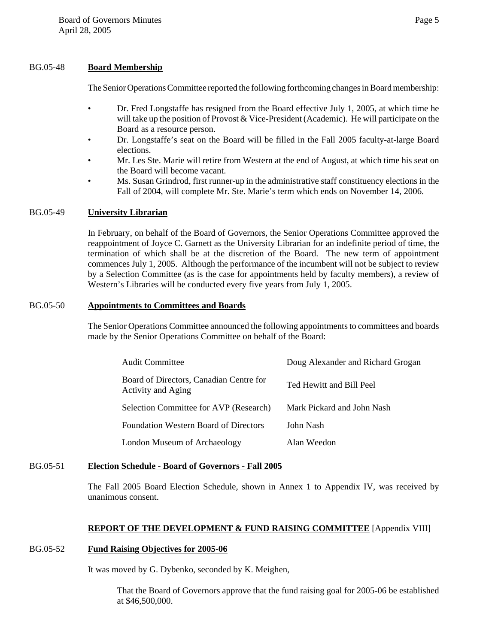#### BG.05-48 **Board Membership**

The Senior Operations Committee reported the following forthcoming changes in Board membership:

- Dr. Fred Longstaffe has resigned from the Board effective July 1, 2005, at which time he will take up the position of Provost & Vice-President (Academic). He will participate on the Board as a resource person.
- Dr. Longstaffe's seat on the Board will be filled in the Fall 2005 faculty-at-large Board elections.
- Mr. Les Ste. Marie will retire from Western at the end of August, at which time his seat on the Board will become vacant.
- Ms. Susan Grindrod, first runner-up in the administrative staff constituency elections in the Fall of 2004, will complete Mr. Ste. Marie's term which ends on November 14, 2006.

### BG.05-49 **University Librarian**

In February, on behalf of the Board of Governors, the Senior Operations Committee approved the reappointment of Joyce C. Garnett as the University Librarian for an indefinite period of time, the termination of which shall be at the discretion of the Board. The new term of appointment commences July 1, 2005. Although the performance of the incumbent will not be subject to review by a Selection Committee (as is the case for appointments held by faculty members), a review of Western's Libraries will be conducted every five years from July 1, 2005.

#### BG.05-50 **Appointments to Committees and Boards**

The Senior Operations Committee announced the following appointments to committees and boards made by the Senior Operations Committee on behalf of the Board:

| <b>Audit Committee</b>                                        | Doug Alexander and Richard Grogan |
|---------------------------------------------------------------|-----------------------------------|
| Board of Directors, Canadian Centre for<br>Activity and Aging | Ted Hewitt and Bill Peel          |
| Selection Committee for AVP (Research)                        | Mark Pickard and John Nash        |
| <b>Foundation Western Board of Directors</b>                  | John Nash                         |
| London Museum of Archaeology                                  | Alan Weedon                       |

#### BG.05-51 **Election Schedule - Board of Governors - Fall 2005**

The Fall 2005 Board Election Schedule, shown in Annex 1 to Appendix IV, was received by unanimous consent.

## **REPORT OF THE DEVELOPMENT & FUND RAISING COMMITTEE** [Appendix VIII]

#### BG.05-52 **Fund Raising Objectives for 2005-06**

It was moved by G. Dybenko, seconded by K. Meighen,

That the Board of Governors approve that the fund raising goal for 2005-06 be established at \$46,500,000.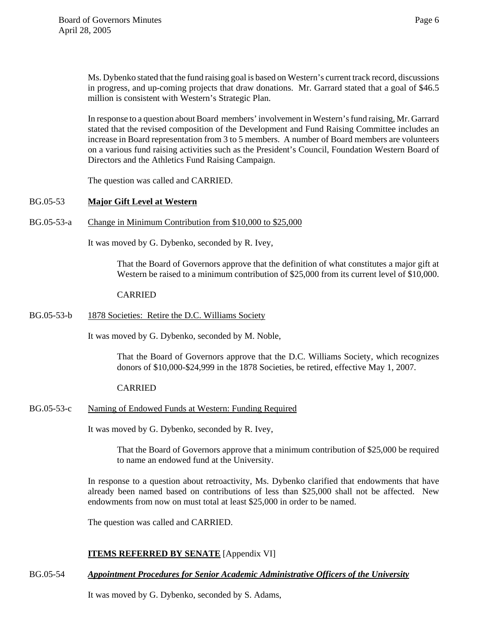Ms. Dybenko stated that the fund raising goal is based on Western's current track record, discussions in progress, and up-coming projects that draw donations. Mr. Garrard stated that a goal of \$46.5 million is consistent with Western's Strategic Plan.

In response to a question about Board members' involvement in Western's fund raising, Mr. Garrard stated that the revised composition of the Development and Fund Raising Committee includes an increase in Board representation from 3 to 5 members. A number of Board members are volunteers on a various fund raising activities such as the President's Council, Foundation Western Board of Directors and the Athletics Fund Raising Campaign.

The question was called and CARRIED.

#### BG.05-53 **Major Gift Level at Western**

BG.05-53-a Change in Minimum Contribution from \$10,000 to \$25,000

It was moved by G. Dybenko, seconded by R. Ivey,

That the Board of Governors approve that the definition of what constitutes a major gift at Western be raised to a minimum contribution of \$25,000 from its current level of \$10,000.

#### CARRIED

BG.05-53-b 1878 Societies: Retire the D.C. Williams Society

It was moved by G. Dybenko, seconded by M. Noble,

That the Board of Governors approve that the D.C. Williams Society, which recognizes donors of \$10,000-\$24,999 in the 1878 Societies, be retired, effective May 1, 2007.

#### CARRIED

BG.05-53-c Naming of Endowed Funds at Western: Funding Required

It was moved by G. Dybenko, seconded by R. Ivey,

That the Board of Governors approve that a minimum contribution of \$25,000 be required to name an endowed fund at the University.

In response to a question about retroactivity, Ms. Dybenko clarified that endowments that have already been named based on contributions of less than \$25,000 shall not be affected. New endowments from now on must total at least \$25,000 in order to be named.

The question was called and CARRIED.

## **ITEMS REFERRED BY SENATE** [Appendix VI]

BG.05-54 *Appointment Procedures for Senior Academic Administrative Officers of the University*

It was moved by G. Dybenko, seconded by S. Adams,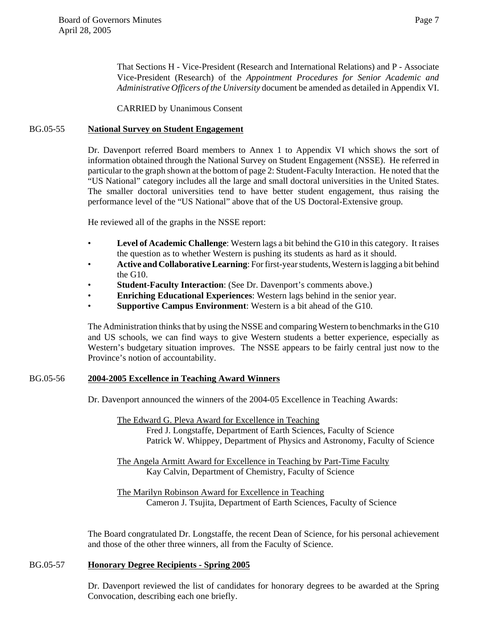That Sections H - Vice-President (Research and International Relations) and P - Associate Vice-President (Research) of the *Appointment Procedures for Senior Academic and Administrative Officers of the University* document be amended as detailed in Appendix VI.

CARRIED by Unanimous Consent

#### BG.05-55 **National Survey on Student Engagement**

Dr. Davenport referred Board members to Annex 1 to Appendix VI which shows the sort of information obtained through the National Survey on Student Engagement (NSSE). He referred in particular to the graph shown at the bottom of page 2: Student-Faculty Interaction. He noted that the "US National" category includes all the large and small doctoral universities in the United States. The smaller doctoral universities tend to have better student engagement, thus raising the performance level of the "US National" above that of the US Doctoral-Extensive group.

He reviewed all of the graphs in the NSSE report:

- **Level of Academic Challenge**: Western lags a bit behind the G10 in this category. It raises the question as to whether Western is pushing its students as hard as it should.
- **Active and Collaborative Learning**: For first-year students, Western is lagging a bit behind the G10.
- **Student-Faculty Interaction**: (See Dr. Davenport's comments above.)
- **Enriching Educational Experiences**: Western lags behind in the senior year.
- **Supportive Campus Environment**: Western is a bit ahead of the G10.

The Administration thinks that by using the NSSE and comparing Western to benchmarks in the G10 and US schools, we can find ways to give Western students a better experience, especially as Western's budgetary situation improves. The NSSE appears to be fairly central just now to the Province's notion of accountability.

#### BG.05-56 **2004-2005 Excellence in Teaching Award Winners**

Dr. Davenport announced the winners of the 2004-05 Excellence in Teaching Awards:

The Edward G. Pleva Award for Excellence in Teaching Fred J. Longstaffe, Department of Earth Sciences, Faculty of Science Patrick W. Whippey, Department of Physics and Astronomy, Faculty of Science

The Angela Armitt Award for Excellence in Teaching by Part-Time Faculty Kay Calvin, Department of Chemistry, Faculty of Science

The Marilyn Robinson Award for Excellence in Teaching Cameron J. Tsujita, Department of Earth Sciences, Faculty of Science

The Board congratulated Dr. Longstaffe, the recent Dean of Science, for his personal achievement and those of the other three winners, all from the Faculty of Science.

#### BG.05-57 **Honorary Degree Recipients - Spring 2005**

Dr. Davenport reviewed the list of candidates for honorary degrees to be awarded at the Spring Convocation, describing each one briefly.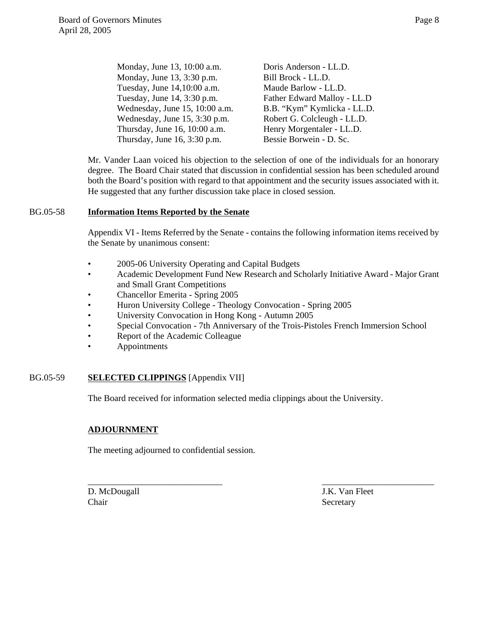| Monday, June 13, 10:00 a.m.    | Doris Anderson - LL.D.      |
|--------------------------------|-----------------------------|
| Monday, June 13, 3:30 p.m.     | Bill Brock - LL.D.          |
| Tuesday, June 14,10:00 a.m.    | Maude Barlow - LL.D.        |
| Tuesday, June 14, 3:30 p.m.    | Father Edward Malloy - LL.D |
| Wednesday, June 15, 10:00 a.m. | B.B. "Kym" Kymlicka - LL.D. |
| Wednesday, June 15, 3:30 p.m.  | Robert G. Colcleugh - LL.D. |
| Thursday, June 16, 10:00 a.m.  | Henry Morgentaler - LL.D.   |
| Thursday, June 16, 3:30 p.m.   | Bessie Borwein - D. Sc.     |
|                                |                             |

Mr. Vander Laan voiced his objection to the selection of one of the individuals for an honorary degree. The Board Chair stated that discussion in confidential session has been scheduled around both the Board's position with regard to that appointment and the security issues associated with it. He suggested that any further discussion take place in closed session.

#### BG.05-58 **Information Items Reported by the Senate**

Appendix VI - Items Referred by the Senate - contains the following information items received by the Senate by unanimous consent:

- 2005-06 University Operating and Capital Budgets
- Academic Development Fund New Research and Scholarly Initiative Award Major Grant and Small Grant Competitions
- Chancellor Emerita Spring 2005
- Huron University College Theology Convocation Spring 2005
- University Convocation in Hong Kong Autumn 2005
- Special Convocation 7th Anniversary of the Trois-Pistoles French Immersion School

\_\_\_\_\_\_\_\_\_\_\_\_\_\_\_\_\_\_\_\_\_\_\_\_\_\_\_\_\_\_ \_\_\_\_\_\_\_\_\_\_\_\_\_\_\_\_\_\_\_\_\_\_\_\_\_

- Report of the Academic Colleague
- Appointments

#### BG.05-59 **SELECTED CLIPPINGS** [Appendix VII]

The Board received for information selected media clippings about the University.

#### **ADJOURNMENT**

The meeting adjourned to confidential session.

Chair Secretary Secretary

D. McDougall J.K. Van Fleet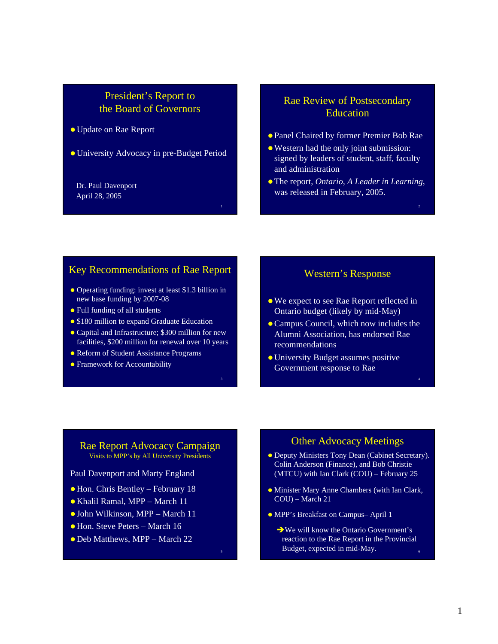# <span id="page-8-0"></span>President's Report to the Board of Governors

• Update on Rae Report

• University Advocacy in pre-Budget Period

1

3

5

#### Dr. Paul Davenport April 28, 2005

# Rae Review of Postsecondary **Education**

- Panel Chaired by former Premier Bob Rae
- Western had the only joint submission: signed by leaders of student, staff, faculty and administration
- z The report, *Ontario, A Leader in Learning*, was released in February, 2005.

# Key Recommendations of Rae Report

- Operating funding: invest at least \$1.3 billion in new base funding by 2007-08
- Full funding of all students
- \$180 million to expand Graduate Education
- Capital and Infrastructure; \$300 million for new facilities, \$200 million for renewal over 10 years
- Reform of Student Assistance Programs
- Framework for Accountability

# Western's Response

- We expect to see Rae Report reflected in Ontario budget (likely by mid-May)
- Campus Council, which now includes the Alumni Association, has endorsed Rae recommendations

4

• University Budget assumes positive Government response to Rae

Rae Report Advocacy Campaign Visits to MPP's by All University Presidents

Paul Davenport and Marty England

- Hon. Chris Bentley February 18
- Khalil Ramal, MPP March 11
- John Wilkinson, MPP March 11
- Hon. Steve Peters March 16
- Deb Matthews, MPP March 22

# Other Advocacy Meetings

- $\bullet$  Deputy Ministers Tony Dean (Cabinet Secretary). Colin Anderson (Finance), and Bob Christie (MTCU) with Ian Clark  $(COU)$  – February 25
- Minister Mary Anne Chambers (with Ian Clark, COU) – March 21
- MPP's Breakfast on Campus– April 1
	- $\rightarrow$  We will know the Ontario Government's reaction to the Rae Report in the Provincial Budget, expected in mid-May.

1